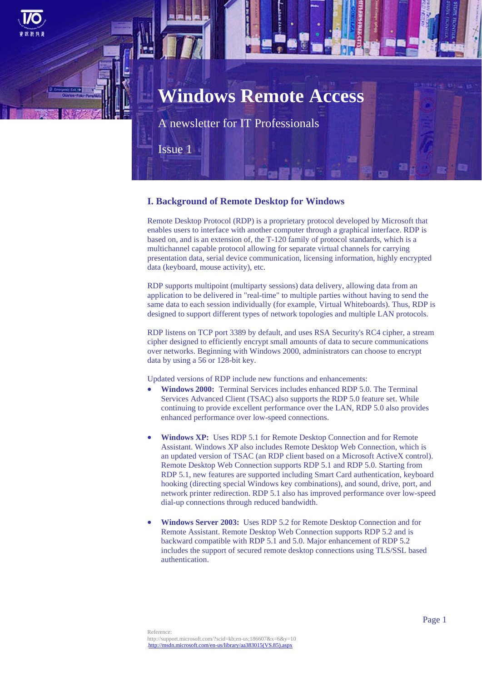

Issue 1

## **I. Background of Remote Desktop for Windows**

Remote Desktop Protocol (RDP) is a proprietary protocol developed by Microsoft that enables users to interface with another computer through a graphical interface. RDP is based on, and is an extension of, the T-120 family of protocol standards, which is a multichannel capable protocol allowing for separate virtual channels for carrying presentation data, serial device communication, licensing information, highly encrypted data (keyboard, mouse activity), etc.

RDP supports multipoint (multiparty sessions) data delivery, allowing data from an application to be delivered in "real-time" to multiple parties without having to send the same data to each session individually (for example, Virtual Whiteboards). Thus, RDP is designed to support different types of network topologies and multiple LAN protocols.

RDP listens on TCP port 3389 by default, and uses RSA Security's RC4 cipher, a stream cipher designed to efficiently encrypt small amounts of data to secure communications over networks. Beginning with Windows 2000, administrators can choose to encrypt data by using a 56 or 128-bit key.

Updated versions of RDP include new functions and enhancements:

- **Windows 2000:** Terminal Services includes enhanced RDP 5.0. The Terminal Services Advanced Client (TSAC) also supports the RDP 5.0 feature set. While continuing to provide excellent performance over the LAN, RDP 5.0 also provides enhanced performance over low-speed connections.
- **Windows XP:** Uses RDP 5.1 for Remote Desktop Connection and for Remote Assistant. Windows XP also includes Remote Desktop Web Connection, which is an updated version of TSAC (an RDP client based on a Microsoft ActiveX control). Remote Desktop Web Connection supports RDP 5.1 and RDP 5.0. Starting from RDP 5.1, new features are supported including Smart Card authentication, keyboard hooking (directing special Windows key combinations), and sound, drive, port, and network printer redirection. RDP 5.1 also has improved performance over low-speed dial-up connections through reduced bandwidth.
- **Windows Server 2003:** Uses RDP 5.2 for Remote Desktop Connection and for Remote Assistant. Remote Desktop Web Connection supports RDP 5.2 and is backward compatible with RDP 5.1 and 5.0. Major enhancement of RDP 5.2 includes the support of secured remote desktop connections using TLS/SSL based authentication.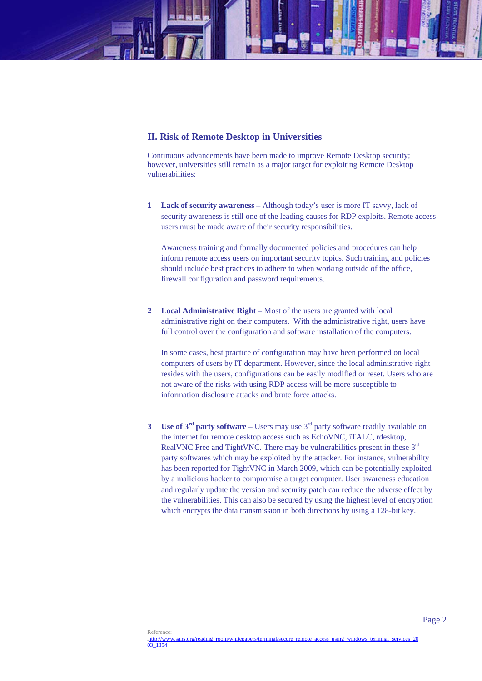# **II. Risk of Remote Desktop in Universities**

Continuous advancements have been made to improve Remote Desktop security; however, universities still remain as a major target for exploiting Remote Desktop vulnerabilities:

**1 Lack of security awareness** – Although today's user is more IT savvy, lack of security awareness is still one of the leading causes for RDP exploits. Remote access users must be made aware of their security responsibilities.

Awareness training and formally documented policies and procedures can help inform remote access users on important security topics. Such training and policies should include best practices to adhere to when working outside of the office, firewall configuration and password requirements.

**2 Local Administrative Right –** Most of the users are granted with local administrative right on their computers. With the administrative right, users have full control over the configuration and software installation of the computers.

In some cases, best practice of configuration may have been performed on local computers of users by IT department. However, since the local administrative right resides with the users, configurations can be easily modified or reset. Users who are not aware of the risks with using RDP access will be more susceptible to information disclosure attacks and brute force attacks.

**3 Use of 3rd party software –** Users may use 3rd party software readily available on the internet for remote desktop access such as EchoVNC, iTALC, rdesktop, RealVNC Free and TightVNC. There may be vulnerabilities present in these 3<sup>rd</sup> party softwares which may be exploited by the attacker. For instance, vulnerability has been reported for TightVNC in March 2009, which can be potentially exploited by a malicious hacker to compromise a target computer. User awareness education and regularly update the version and security patch can reduce the adverse effect by the vulnerabilities. This can also be secured by using the highest level of encryption which encrypts the data transmission in both directions by using a 128-bit key.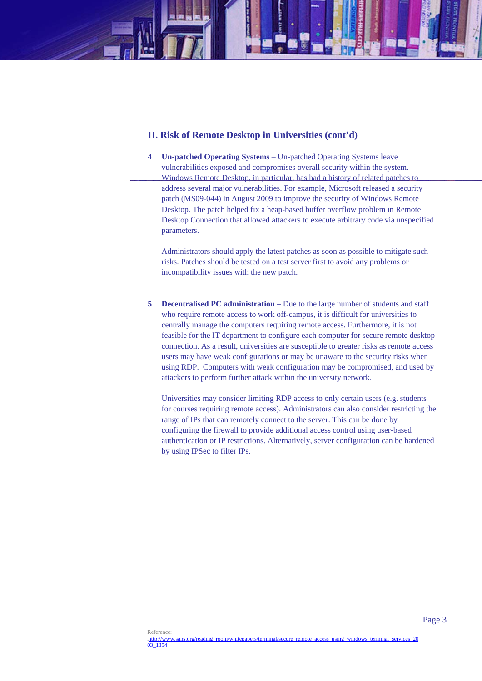# **II. Risk of Remote Desktop in Universities (cont'd)**

**4 Un-patched Operating Systems** – Un-patched Operating Systems leave vulnerabilities exposed and compromises overall security within the system. Windows Remote Desktop, in particular, has had a history of related patches to address several major vulnerabilities. For example, Microsoft released a security patch (MS09-044) in August 2009 to improve the security of Windows Remote Desktop. The patch helped fix a heap-based buffer overflow problem in Remote Desktop Connection that allowed attackers to execute arbitrary code via unspecified parameters.

Administrators should apply the latest patches as soon as possible to mitigate such risks. Patches should be tested on a test server first to avoid any problems or incompatibility issues with the new patch.

**5 Decentralised PC administration –** Due to the large number of students and staff who require remote access to work off-campus, it is difficult for universities to centrally manage the computers requiring remote access. Furthermore, it is not feasible for the IT department to configure each computer for secure remote desktop connection. As a result, universities are susceptible to greater risks as remote access users may have weak configurations or may be unaware to the security risks when using RDP. Computers with weak configuration may be compromised, and used by attackers to perform further attack within the university network.

Universities may consider limiting RDP access to only certain users (e.g. students for courses requiring remote access). Administrators can also consider restricting the range of IPs that can remotely connect to the server. This can be done by configuring the firewall to provide additional access control using user-based authentication or IP restrictions. Alternatively, server configuration can be hardened by using IPSec to filter IPs.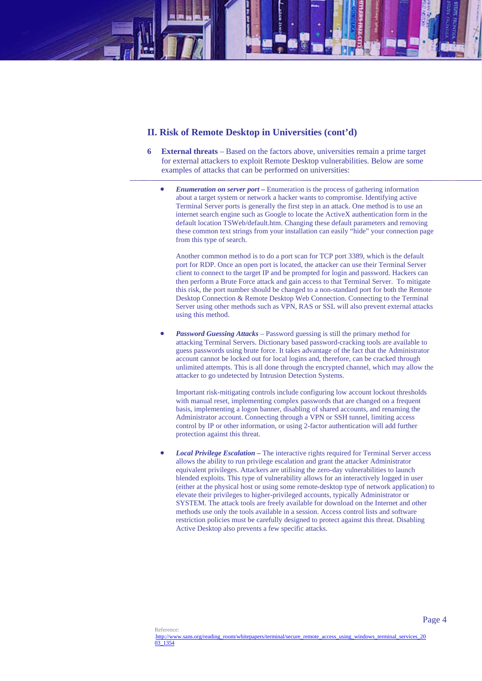## **II. Risk of Remote Desktop in Universities (cont'd)**

- **6 External threats**  Based on the factors above, universities remain a prime target for external attackers to exploit Remote Desktop vulnerabilities. Below are some examples of attacks that can be performed on universities:
	- *Enumeration on server port –* Enumeration is the process of gathering information about a target system or network a hacker wants to compromise. Identifying active Terminal Server ports is generally the first step in an attack. One method is to use an internet search engine such as Google to locate the ActiveX authentication form in the default location TSWeb/default.htm. Changing these default parameters and removing these common text strings from your installation can easily "hide" your connection page from this type of search.

Another common method is to do a port scan for TCP port 3389, which is the default port for RDP. Once an open port is located, the attacker can use their Terminal Server client to connect to the target IP and be prompted for login and password. Hackers can then perform a Brute Force attack and gain access to that Terminal Server. To mitigate this risk, the port number should be changed to a non-standard port for both the Remote Desktop Connection & Remote Desktop Web Connection. Connecting to the Terminal Server using other methods such as VPN, RAS or SSL will also prevent external attacks using this method.

 *Password Guessing Attacks –* Password guessing is still the primary method for attacking Terminal Servers. Dictionary based password-cracking tools are available to guess passwords using brute force. It takes advantage of the fact that the Administrator account cannot be locked out for local logins and, therefore, can be cracked through unlimited attempts. This is all done through the encrypted channel, which may allow the attacker to go undetected by Intrusion Detection Systems.

Important risk-mitigating controls include configuring low account lockout thresholds with manual reset, implementing complex passwords that are changed on a frequent basis, implementing a logon banner, disabling of shared accounts, and renaming the Administrator account. Connecting through a VPN or SSH tunnel, limiting access control by IP or other information, or using 2-factor authentication will add further protection against this threat.

 *Local Privilege Escalation –* The interactive rights required for Terminal Server access allows the ability to run privilege escalation and grant the attacker Administrator equivalent privileges. Attackers are utilising the zero-day vulnerabilities to launch blended exploits. This type of vulnerability allows for an interactively logged in user (either at the physical host or using some remote-desktop type of network application) to elevate their privileges to higher-privileged accounts, typically Administrator or SYSTEM. The attack tools are freely available for download on the Internet and other methods use only the tools available in a session. Access control lists and software restriction policies must be carefully designed to protect against this threat. Disabling Active Desktop also prevents a few specific attacks.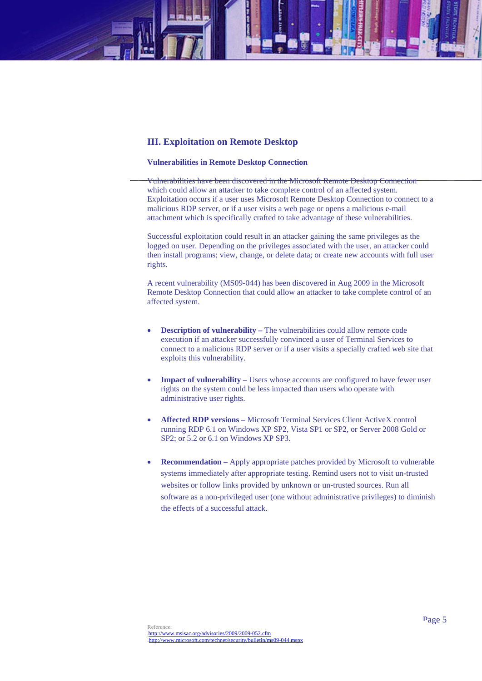## **III. Exploitation on Remote Desktop**

#### **Vulnerabilities in Remote Desktop Connection**

Vulnerabilities have been discovered in the Microsoft Remote Desktop Connection which could allow an attacker to take complete control of an affected system. Exploitation occurs if a user uses Microsoft Remote Desktop Connection to connect to a malicious RDP server, or if a user visits a web page or opens a malicious e-mail attachment which is specifically crafted to take advantage of these vulnerabilities.

Successful exploitation could result in an attacker gaining the same privileges as the logged on user. Depending on the privileges associated with the user, an attacker could then install programs; view, change, or delete data; or create new accounts with full user rights.

A recent vulnerability (MS09-044) has been discovered in Aug 2009 in the Microsoft Remote Desktop Connection that could allow an attacker to take complete control of an affected system.

- **Description of vulnerability The vulnerabilities could allow remote code** execution if an attacker successfully convinced a user of Terminal Services to connect to a malicious RDP server or if a user visits a specially crafted web site that exploits this vulnerability.
- **Impact of vulnerability** Users whose accounts are configured to have fewer user rights on the system could be less impacted than users who operate with administrative user rights.
- **Affected RDP versions** Microsoft Terminal Services Client ActiveX control running RDP 6.1 on Windows XP SP2, Vista SP1 or SP2, or Server 2008 Gold or SP2; or 5.2 or 6.1 on Windows XP SP3.
- **Recommendation** Apply appropriate patches provided by Microsoft to vulnerable systems immediately after appropriate testing. Remind users not to visit un-trusted websites or follow links provided by unknown or un-trusted sources. Run all software as a non-privileged user (one without administrative privileges) to diminish the effects of a successful attack.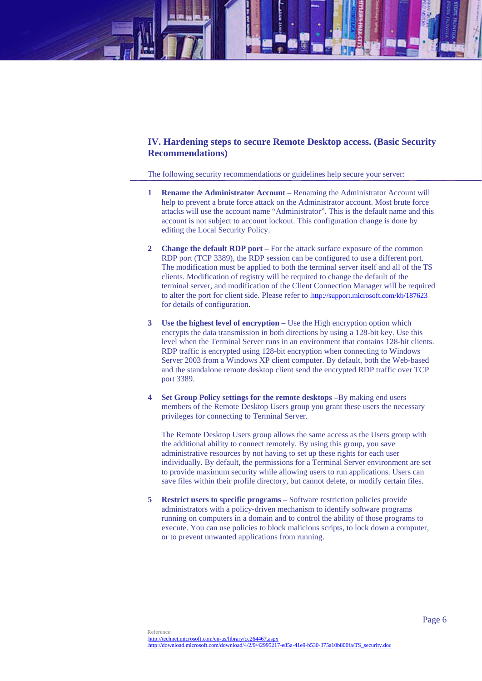# **IV. Hardening steps to secure Remote Desktop access. (Basic Security Recommendations)**

The following security recommendations or guidelines help secure your server:

- **1 Rename the Administrator Account** Renaming the Administrator Account will help to prevent a brute force attack on the Administrator account. Most brute force attacks will use the account name "Administrator". This is the default name and this account is not subject to account lockout. This configuration change is done by editing the Local Security Policy.
- **2 Change the default RDP port** For the attack surface exposure of the common RDP port (TCP 3389), the RDP session can be configured to use a different port. The modification must be applied to both the terminal server itself and all of the TS clients. Modification of registry will be required to change the default of the terminal server, and modification of the Client Connection Manager will be required to alter the port for client side. Please refer to http://support.microsoft.com/kb/187623 for details of configuration.
- **3 Use the highest level of encryption** Use the High encryption option which encrypts the data transmission in both directions by using a 128-bit key. Use this level when the Terminal Server runs in an environment that contains 128-bit clients. RDP traffic is encrypted using 128-bit encryption when connecting to Windows Server 2003 from a Windows XP client computer. By default, both the Web-based and the standalone remote desktop client send the encrypted RDP traffic over TCP port 3389.
- **4 Set Group Policy settings for the remote desktops –**By making end users members of the Remote Desktop Users group you grant these users the necessary privileges for connecting to Terminal Server.

The Remote Desktop Users group allows the same access as the Users group with the additional ability to connect remotely. By using this group, you save administrative resources by not having to set up these rights for each user individually. By default, the permissions for a Terminal Server environment are set to provide maximum security while allowing users to run applications. Users can save files within their profile directory, but cannot delete, or modify certain files.

**5 Restrict users to specific programs –** Software restriction policies provide administrators with a policy-driven mechanism to identify software programs running on computers in a domain and to control the ability of those programs to execute. You can use policies to block malicious scripts, to lock down a computer, or to prevent unwanted applications from running.